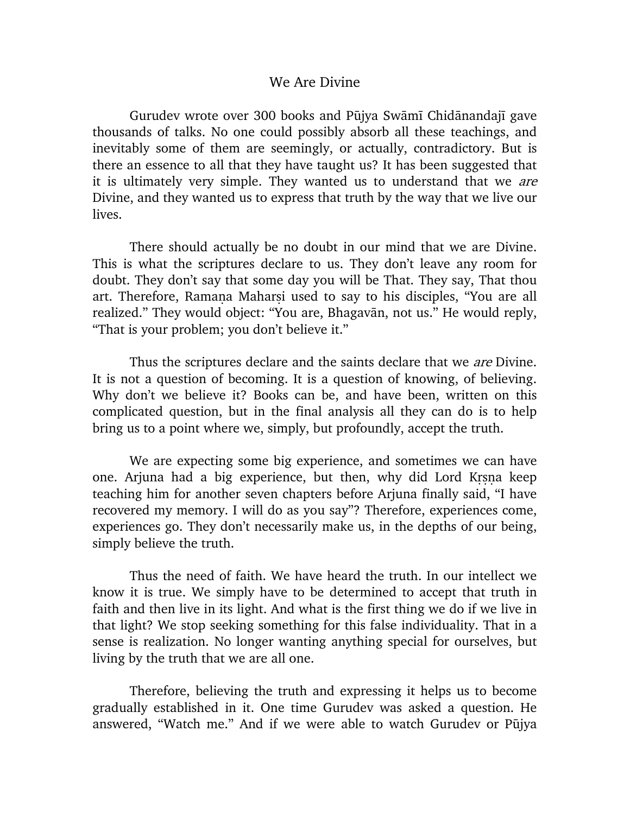## We Are Divine

Gurudev wrote over 300 books and Pūjya Swāmī Chidānandajī gave thousands of talks. No one could possibly absorb all these teachings, and inevitably some of them are seemingly, or actually, contradictory. But is there an essence to all that they have taught us? It has been suggested that it is ultimately very simple. They wanted us to understand that we are Divine, and they wanted us to express that truth by the way that we live our lives.

There should actually be no doubt in our mind that we are Divine. This is what the scriptures declare to us. They don't leave any room for doubt. They don't say that some day you will be That. They say, That thou art. Therefore, Ramana Maharsi used to say to his disciples, "You are all realized." They would object: "You are, Bhagavān, not us." He would reply, "That is your problem; you don't believe it."

Thus the scriptures declare and the saints declare that we *are* Divine. It is not a question of becoming. It is a question of knowing, of believing. Why don't we believe it? Books can be, and have been, written on this complicated question, but in the final analysis all they can do is to help bring us to a point where we, simply, but profoundly, accept the truth.

We are expecting some big experience, and sometimes we can have one. Arjuna had a big experience, but then, why did Lord Krsna keep teaching him for another seven chapters before Arjuna finally said, "I have recovered my memory. I will do as you say"? Therefore, experiences come, experiences go. They don't necessarily make us, in the depths of our being, simply believe the truth.

Thus the need of faith. We have heard the truth. In our intellect we know it is true. We simply have to be determined to accept that truth in faith and then live in its light. And what is the first thing we do if we live in that light? We stop seeking something for this false individuality. That in a sense is realization. No longer wanting anything special for ourselves, but living by the truth that we are all one.

Therefore, believing the truth and expressing it helps us to become gradually established in it. One time Gurudev was asked a question. He answered, "Watch me." And if we were able to watch Gurudev or Pūjya